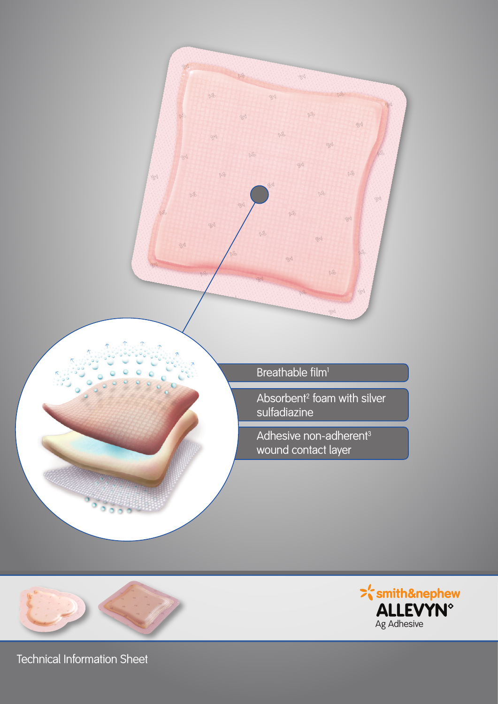





Technical Information Sheet